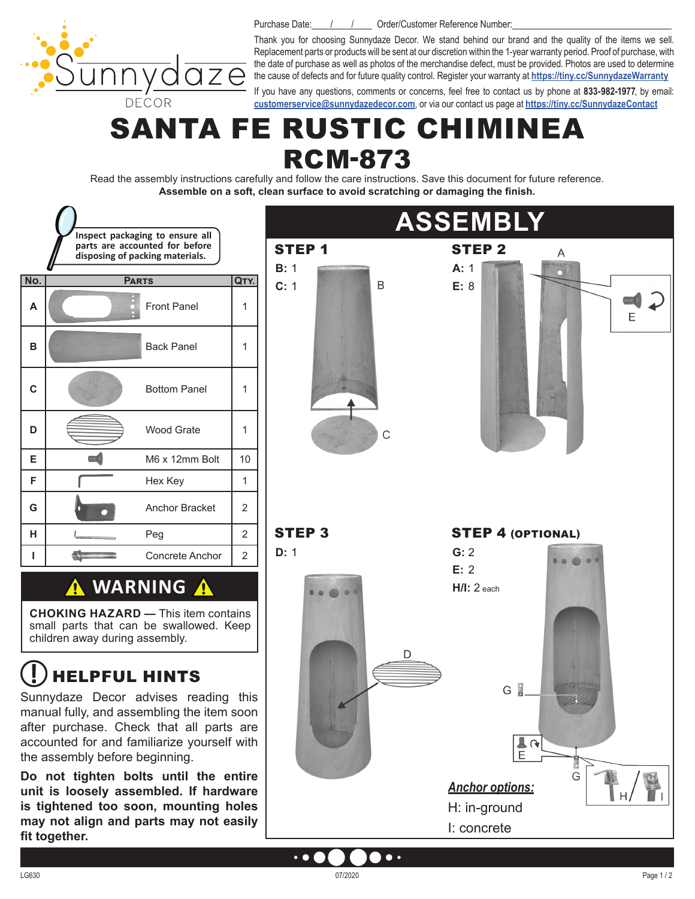DECOR

Purchase Date: / / / / Order/Customer Reference Number:

Thank you for choosing Sunnydaze Decor. We stand behind our brand and the quality of the items we sell. Replacement parts or products will be sent at our discretion within the 1-year warranty period. Proof of purchase, with the date of purchase as well as photos of the merchandise defect, must be provided. Photos are used to determine the cause of defects and for future quality control. Register your warranty at **<https://tiny.cc/SunnydazeWarranty>**

If you have any questions, comments or concerns, feel free to contact us by phone at **833-982-1977**, by email: **[customerservice@sunnydazedecor.com](mailto:customerservice%40sunnydazedecor.com?subject=)**, or via our contact us page at **<https://tiny.cc/SunnydazeContact>**

# SANTA FE RUSTIC CHIMINEA RCM-873

Read the assembly instructions carefully and follow the care instructions. Save this document for future reference. **Assemble on a soft, clean surface to avoid scratching or damaging the finish.** 



 $\bullet$ 

 $\bullet$